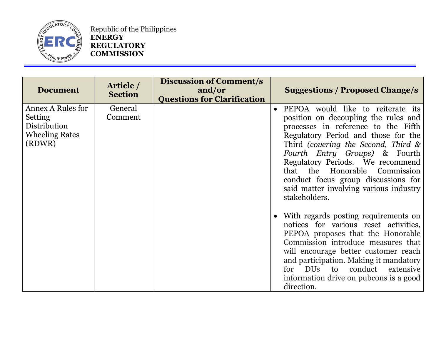

Republic of the Philippines **ENERGY REGULATORY COMMISSION**

| <b>Document</b>                                                                        | Article /<br><b>Section</b> | <b>Discussion of Comment/s</b><br>and/or<br><b>Questions for Clarification</b> | <b>Suggestions / Proposed Change/s</b>                                                                                                                                                                                                                                                                                                                                                                    |
|----------------------------------------------------------------------------------------|-----------------------------|--------------------------------------------------------------------------------|-----------------------------------------------------------------------------------------------------------------------------------------------------------------------------------------------------------------------------------------------------------------------------------------------------------------------------------------------------------------------------------------------------------|
| <b>Annex A Rules for</b><br>Setting<br>Distribution<br><b>Wheeling Rates</b><br>(RDWR) | General<br>Comment          |                                                                                | PEPOA would like to reiterate its<br>position on decoupling the rules and<br>processes in reference to the Fifth<br>Regulatory Period and those for the<br>Third (covering the Second, Third $\&$<br>Fourth Entry Groups) & Fourth<br>Regulatory Periods. We recommend<br>that the Honorable Commission<br>conduct focus group discussions for<br>said matter involving various industry<br>stakeholders. |
|                                                                                        |                             |                                                                                | With regards posting requirements on<br>notices for various reset activities,<br>PEPOA proposes that the Honorable<br>Commission introduce measures that<br>will encourage better customer reach<br>and participation. Making it mandatory<br>for DUs to conduct extensive<br>information drive on pubcons is a good<br>direction.                                                                        |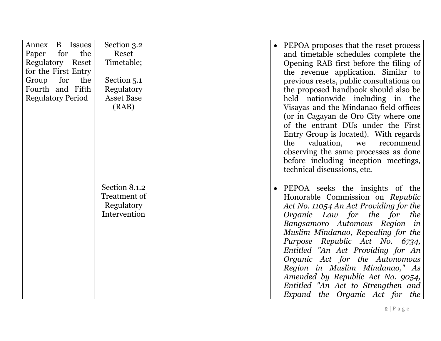| Annex<br><b>B</b> Issues<br>the<br>for<br>Paper<br>Regulatory Reset<br>for the First Entry<br>for<br>Group<br>the<br>Fourth and Fifth<br><b>Regulatory Period</b> | Section 3.2<br>Reset<br>Timetable;<br>Section 5.1<br>Regulatory<br><b>Asset Base</b><br>(RAB) | • PEPOA proposes that the reset process<br>and timetable schedules complete the<br>Opening RAB first before the filing of<br>the revenue application. Similar to<br>previous resets, public consultations on<br>the proposed handbook should also be<br>held nationwide including in the<br>Visayas and the Mindanao field offices<br>(or in Cagayan de Oro City where one<br>of the entrant DUs under the First<br>Entry Group is located). With regards<br>the<br>valuation, we<br>recommend<br>observing the same processes as done<br>before including inception meetings,<br>technical discussions, etc. |
|-------------------------------------------------------------------------------------------------------------------------------------------------------------------|-----------------------------------------------------------------------------------------------|---------------------------------------------------------------------------------------------------------------------------------------------------------------------------------------------------------------------------------------------------------------------------------------------------------------------------------------------------------------------------------------------------------------------------------------------------------------------------------------------------------------------------------------------------------------------------------------------------------------|
|                                                                                                                                                                   | Section 8.1.2<br>Treatment of<br>Regulatory<br>Intervention                                   | • PEPOA seeks the insights of the<br>Honorable Commission on Republic<br>Act No. 11054 An Act Providing for the<br>Organic Law for the for<br>the<br>Bangsamoro Automous Region in<br>Muslim Mindanao, Repealing for the<br>Purpose Republic Act No. 6734,<br>Entitled "An Act Providing for An<br>Organic Act for the Autonomous<br>Region in Muslim Mindanao," As<br>Amended by Republic Act No. 9054,<br>Entitled "An Act to Strengthen and<br>Expand the Organic Act for the                                                                                                                              |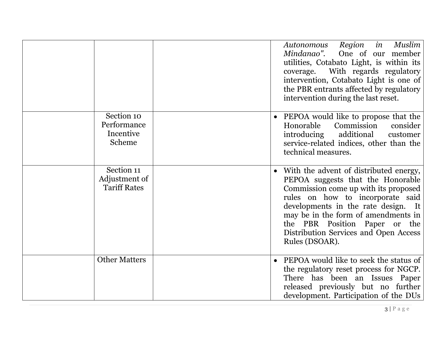|                                                    | Region<br>in<br>Muslim<br>Autonomous<br>Mindanao".<br>One of our member<br>utilities, Cotabato Light, is within its<br>With regards regulatory<br>coverage.<br>intervention, Cotabato Light is one of<br>the PBR entrants affected by regulatory<br>intervention during the last reset.                                           |
|----------------------------------------------------|-----------------------------------------------------------------------------------------------------------------------------------------------------------------------------------------------------------------------------------------------------------------------------------------------------------------------------------|
| Section 10<br>Performance<br>Incentive<br>Scheme   | PEPOA would like to propose that the<br>Commission<br>Honorable<br>consider<br>additional<br>introducing<br>customer<br>service-related indices, other than the<br>technical measures.                                                                                                                                            |
| Section 11<br>Adjustment of<br><b>Tariff Rates</b> | With the advent of distributed energy,<br>PEPOA suggests that the Honorable<br>Commission come up with its proposed<br>rules on how to incorporate said<br>developments in the rate design. It<br>may be in the form of amendments in<br>the PBR Position Paper or the<br>Distribution Services and Open Access<br>Rules (DSOAR). |
| <b>Other Matters</b>                               | PEPOA would like to seek the status of<br>the regulatory reset process for NGCP.<br>There has been an Issues Paper<br>released previously but no further<br>development. Participation of the DUs                                                                                                                                 |